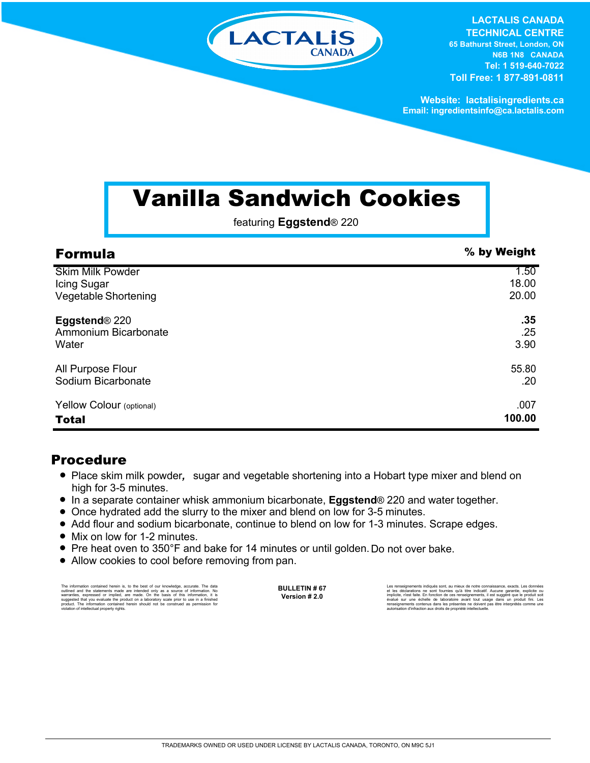

**LACTALIS CANADA TECHNICAL CENTRE 65 Bathurst Street, London, ON N6B 1N8 CANADA Tel: 1 519-640-7022 Toll Free: 1 877-891-0811**

**Website: lactalisingredients.ca Email: ingredientsinfo@ca.lactalis.com**

## Vanilla Sandwich Cookies

featuring **Eggstend**® 220

| <b>Formula</b>              | % by Weight |
|-----------------------------|-------------|
| <b>Skim Milk Powder</b>     | 1.50        |
| Icing Sugar                 | 18.00       |
| <b>Vegetable Shortening</b> | 20.00       |
| Eggstend <sup>®</sup> 220   | .35         |
| Ammonium Bicarbonate        | .25         |
| Water                       | 3.90        |
| All Purpose Flour           | 55.80       |
| Sodium Bicarbonate          | .20         |
| Yellow Colour (optional)    | .007        |
| <b>Total</b>                | 100.00      |

## Procedure

- Place skim milk powder, sugar and vegetable shortening into a Hobart type mixer and blend on high for 3-5 minutes.
- = In a separate container whisk ammonium bicarbonate, **Eggstend**® 220 and water together.
- Once hydrated add the slurry to the mixer and blend on low for 3-5 minutes.
- Add flour and sodium bicarbonate, continue to blend on low for 1-3 minutes. Scrape edges.
- Mix on low for 1-2 minutes.
- Pre heat oven to 350°F and bake for 14 minutes or until golden. Do not over bake.
- Allow cookies to cool before removing from pan.

The information contained herein is, to the best of our knowledge, accurate. The data outlined and the statements made are intended only as a source of information. No<br>warranties, expressed or implied, are made. On the basis of this information, it is<br>suggested that you evaluate the product on a laboratory **BULLETIN # 67 Version # 2.0**

Les rensignements indiqués sont, au mieux de notre connaissance, exacts. Les données<br>et les déclarations ne sont fournies qu'à titre indicatif. Aucune garantie, explicite ou<br>implicite, n'est faite. En fonction de ces rensé